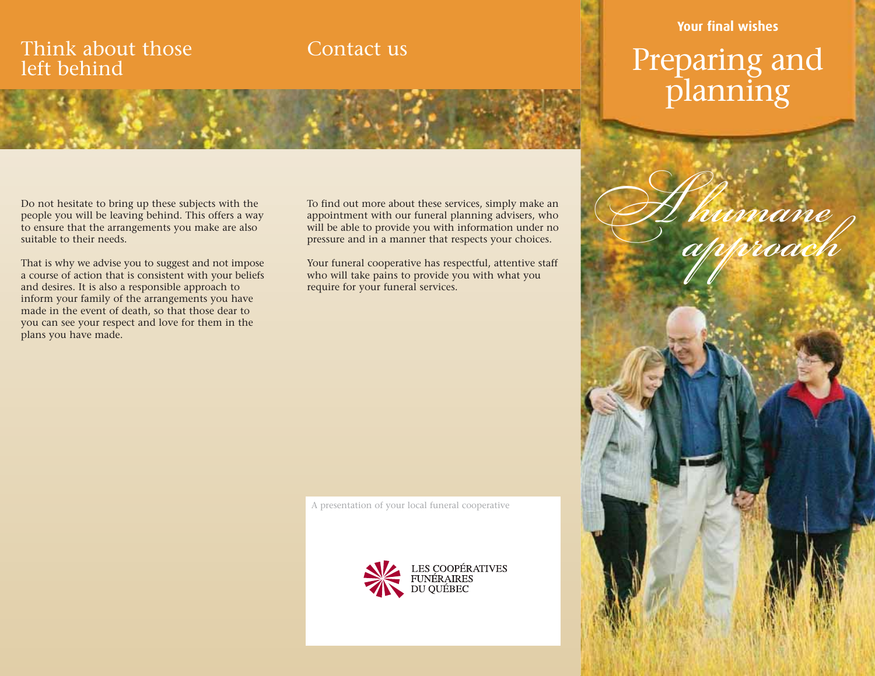## Think about those left behind

## Contact us

### Do not hesitate to bring up these subjects with the people you will be leaving behind. This offers a way to ensure that the arrangements you make are also suitable to their needs.

That is why we advise you to suggest and not impose a course of action that is consistent with your beliefs and desires. It is also a responsible approach to inform your family of the arrangements you have made in the event of death, so that those dear to you can see your respect and love for them in the plans you have made.

To find out more about these services, simply make an appointment with our funeral planning advisers, who will be able to provide you with information under no pressure and in a manner that respects your choices.

Your funeral cooperative has respectful, attentive staff who will take pains to provide you with what you require for your funeral services.

A presentation of your local funeral cooperative



## **Your final wishes**

# Preparing and planning

umane<br>Uproach